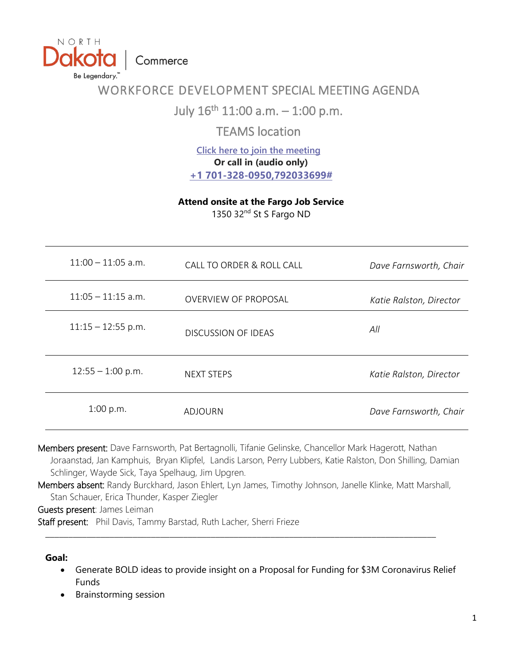Commerce

NORTH

Be Legendary."

# WORKFORCE DEVELOPMENT SPECIAL MEETING AGENDA

July  $16^{th}$  11:00 a.m.  $-$  1:00 p.m.

TEAMS location

**[Click here to join the meeting](https://gcc02.safelinks.protection.outlook.com/ap/t-59584e83/?url=https%3A%2F%2Fteams.microsoft.com%2Fl%2Fmeetup-join%2F19%253ameeting_MGM5NmQzOWQtMjBlNy00OWNkLWI0YzctMDBhY2U2Mjg1Mjk2%2540thread.v2%2F0%3Fcontext%3D%257b%2522Tid%2522%253a%25222dea0464-da51-4a88-bae2-b3db94bc0c54%2522%252c%2522Oid%2522%253a%2522dd79822f-fda5-4a7f-9f0c-3f6f39c9a284%2522%257d&data=04%7C01%7Csfrieze%40nd.gov%7C23d09bf930e14720e96f08d9422315c9%7C2dea0464da514a88bae2b3db94bc0c54%7C0%7C0%7C637613540735601305%7CUnknown%7CTWFpbGZsb3d8eyJWIjoiMC4wLjAwMDAiLCJQIjoiV2luMzIiLCJBTiI6Ik1haWwiLCJXVCI6Mn0%3D%7C1000&sdata=z%2BSD%2B9jHFhU9%2BeLsTBxyFKT6YOm8ZjUlRjYbT6vzbjQ%3D&reserved=0) Or call in (audio only) [+1 701-328-0950,792033699#](tel:+17013280950,,792033699#%20)**

**Attend onsite at the Fargo Job Service**

1350 32<sup>nd</sup> St S Fargo ND

| $11:00 - 11:05$ a.m. | CALL TO ORDER & ROLL CALL   | Dave Farnsworth, Chair  |
|----------------------|-----------------------------|-------------------------|
| $11:05 - 11:15$ a.m. | <b>OVERVIEW OF PROPOSAL</b> | Katie Ralston, Director |
| $11:15 - 12:55$ p.m. | <b>DISCUSSION OF IDEAS</b>  | All                     |
| $12:55 - 1:00$ p.m.  | <b>NEXT STEPS</b>           | Katie Ralston, Director |
| 1:00 p.m.            | ADJOURN                     | Dave Farnsworth, Chair  |

Members present: Dave Farnsworth, Pat Bertagnolli, Tifanie Gelinske, Chancellor Mark Hagerott, Nathan Joraanstad, Jan Kamphuis, Bryan Klipfel, Landis Larson, Perry Lubbers, Katie Ralston, Don Shilling, Damian Schlinger, Wayde Sick, Taya Spelhaug, Jim Upgren.

Members absent: Randy Burckhard, Jason Ehlert, Lyn James, Timothy Johnson, Janelle Klinke, Matt Marshall, Stan Schauer, Erica Thunder, Kasper Ziegler

\_\_\_\_\_\_\_\_\_\_\_\_\_\_\_\_\_\_\_\_\_\_\_\_\_\_\_\_\_\_\_\_\_\_\_\_\_\_\_\_\_\_\_\_\_\_\_\_\_\_\_\_\_\_\_\_\_\_\_\_\_\_\_\_\_\_\_\_\_\_\_\_\_\_\_\_\_\_\_\_\_\_\_\_\_

Guests present: James Leiman

Staff present: Phil Davis, Tammy Barstad, Ruth Lacher, Sherri Frieze

**Goal:**

- Generate BOLD ideas to provide insight on a Proposal for Funding for \$3M Coronavirus Relief Funds
- Brainstorming session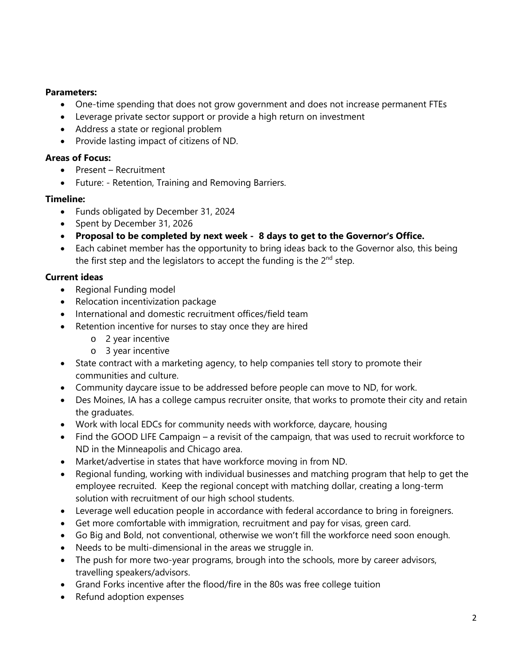### **Parameters:**

- One-time spending that does not grow government and does not increase permanent FTEs
- Leverage private sector support or provide a high return on investment
- Address a state or regional problem
- Provide lasting impact of citizens of ND.

### **Areas of Focus:**

- Present Recruitment
- Future: Retention, Training and Removing Barriers.

## **Timeline:**

- Funds obligated by December 31, 2024
- Spent by December 31, 2026
- **Proposal to be completed by next week - 8 days to get to the Governor's Office.**
- Each cabinet member has the opportunity to bring ideas back to the Governor also, this being the first step and the legislators to accept the funding is the  $2^{nd}$  step.

## **Current ideas**

- Regional Funding model
- Relocation incentivization package
- International and domestic recruitment offices/field team
- Retention incentive for nurses to stay once they are hired
	- o 2 year incentive
	- o 3 year incentive
- State contract with a marketing agency, to help companies tell story to promote their communities and culture.
- Community daycare issue to be addressed before people can move to ND, for work.
- Des Moines, IA has a college campus recruiter onsite, that works to promote their city and retain the graduates.
- Work with local EDCs for community needs with workforce, daycare, housing
- Find the GOOD LIFE Campaign a revisit of the campaign, that was used to recruit workforce to ND in the Minneapolis and Chicago area.
- Market/advertise in states that have workforce moving in from ND.
- Regional funding, working with individual businesses and matching program that help to get the employee recruited. Keep the regional concept with matching dollar, creating a long-term solution with recruitment of our high school students.
- Leverage well education people in accordance with federal accordance to bring in foreigners.
- Get more comfortable with immigration, recruitment and pay for visas, green card.
- Go Big and Bold, not conventional, otherwise we won't fill the workforce need soon enough.
- Needs to be multi-dimensional in the areas we struggle in.
- The push for more two-year programs, brough into the schools, more by career advisors, travelling speakers/advisors.
- Grand Forks incentive after the flood/fire in the 80s was free college tuition
- Refund adoption expenses